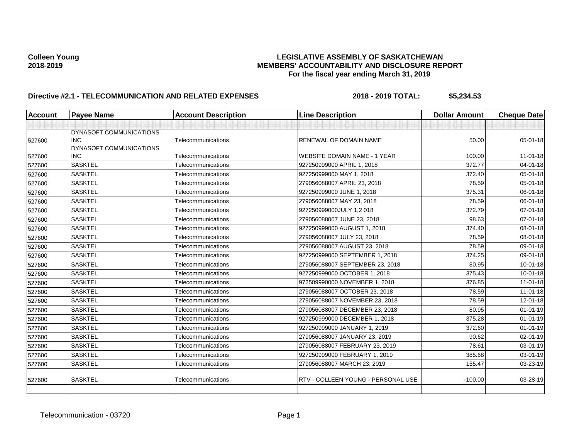| <b>Account</b> | <b>Payee Name</b>               | <b>Account Description</b> | <b>Line Description</b>             | <b>Dollar Amount</b> | <b>Cheque Date</b> |
|----------------|---------------------------------|----------------------------|-------------------------------------|----------------------|--------------------|
|                |                                 |                            |                                     |                      |                    |
|                | DYNASOFT COMMUNICATIONS         |                            |                                     |                      |                    |
| 527600         | INC.                            | Telecommunications         | <b>RENEWAL OF DOMAIN NAME</b>       | 50.00                | $05 - 01 - 18$     |
|                | DYNASOFT COMMUNICATIONS<br>INC. | Telecommunications         |                                     | 100.00               | $11-01-18$         |
| 527600         |                                 |                            | <b>WEBSITE DOMAIN NAME - 1 YEAR</b> |                      |                    |
| 527600         | <b>SASKTEL</b>                  | Telecommunications         | 927250999000 APRIL 1, 2018          | 372.77               | $04 - 01 - 18$     |
| 527600         | <b>SASKTEL</b>                  | Telecommunications         | 927250999000 MAY 1, 2018            | 372.40               | $05 - 01 - 18$     |
| 527600         | <b>SASKTEL</b>                  | Telecommunications         | 279056088007 APRIL 23, 2018         | 78.59                | 05-01-18           |
| 527600         | <b>SASKTEL</b>                  | Telecommunications         | 927250999000 JUNE 1, 2018           | 375.31               | 06-01-18           |
| 527600         | <b>SASKTEL</b>                  | Telecommunications         | 279056088007 MAY 23, 2018           | 78.59                | 06-01-18           |
| 527600         | <b>SASKTEL</b>                  | Telecommunications         | 927250999000JULY 1,2018             | 372.79               | 07-01-18           |
| 527600         | <b>SASKTEL</b>                  | Telecommunications         | 279056088007 JUNE 23, 2018          | 98.63                | $07 - 01 - 18$     |
| 527600         | <b>SASKTEL</b>                  | Telecommunications         | 927250999000 AUGUST 1, 2018         | 374.40               | 08-01-18           |
| 527600         | <b>SASKTEL</b>                  | Telecommunications         | 279056088007 JULY 23, 2018          | 78.59                | 08-01-18           |
| 527600         | <b>SASKTEL</b>                  | Telecommunications         | 279056088007 AUGUST 23, 2018        | 78.59                | 09-01-18           |
| 527600         | <b>SASKTEL</b>                  | Telecommunications         | 927250999000 SEPTEMBER 1, 2018      | 374.25               | 09-01-18           |
| 527600         | <b>SASKTEL</b>                  | Telecommunications         | 279056088007 SEPTEMBER 23, 2018     | 80.95                | $10 - 01 - 18$     |
| 527600         | <b>SASKTEL</b>                  | Telecommunications         | 927250999000 OCTOBER 1, 2018        | 375.43               | $10 - 01 - 18$     |
| 527600         | <b>SASKTEL</b>                  | Telecommunications         | 972509990000 NOVEMBER 1, 2018       | 376.85               | $11-01-18$         |
| 527600         | <b>SASKTEL</b>                  | Telecommunications         | 279056088007 OCTOBER 23, 2018       | 78.59                | $11-01-18$         |
| 527600         | <b>SASKTEL</b>                  | Telecommunications         | 279056088007 NOVEMBER 23, 2018      | 78.59                | 12-01-18           |
| 527600         | <b>SASKTEL</b>                  | Telecommunications         | 279056088007 DECEMBER 23, 2018      | 80.95                | $01 - 01 - 19$     |
| 527600         | <b>SASKTEL</b>                  | Telecommunications         | 927250999000 DECEMBER 1, 2018       | 375.28               | $01 - 01 - 19$     |
| 527600         | <b>SASKTEL</b>                  | Telecommunications         | 927250999000 JANUARY 1, 2019        | 372.60               | $01 - 01 - 19$     |
| 527600         | <b>SASKTEL</b>                  | Telecommunications         | 279056088007 JANUARY 23, 2019       | 90.62                | 02-01-19           |
| 527600         | <b>SASKTEL</b>                  | Telecommunications         | 279056088007 FEBRUARY 23, 2019      | 78.61                | 03-01-19           |
| 527600         | <b>SASKTEL</b>                  | Telecommunications         | 927250999000 FEBRUARY 1, 2019       | 385.68               | 03-01-19           |
| 527600         | <b>SASKTEL</b>                  | Telecommunications         | 279056088007 MARCH 23, 2019         | 155.47               | 03-23-19           |
| 527600         | <b>SASKTEL</b>                  | Telecommunications         | RTV - COLLEEN YOUNG - PERSONAL USE  | $-100.00$            | 03-28-19           |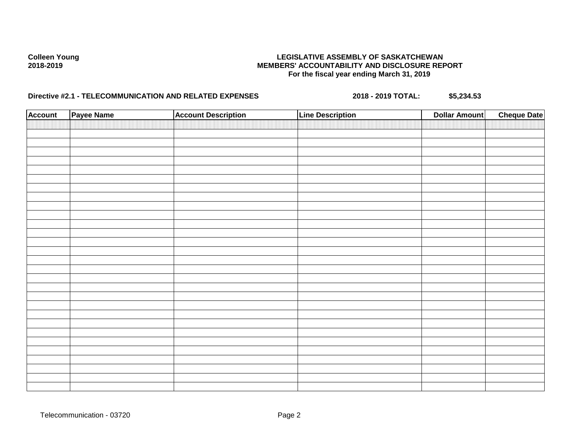| <b>Account</b> | Payee Name | <b>Account Description</b> | <b>Line Description</b> | <b>Dollar Amount</b> | <b>Cheque Date</b> |
|----------------|------------|----------------------------|-------------------------|----------------------|--------------------|
|                |            |                            |                         |                      |                    |
|                |            |                            |                         |                      |                    |
|                |            |                            |                         |                      |                    |
|                |            |                            |                         |                      |                    |
|                |            |                            |                         |                      |                    |
|                |            |                            |                         |                      |                    |
|                |            |                            |                         |                      |                    |
|                |            |                            |                         |                      |                    |
|                |            |                            |                         |                      |                    |
|                |            |                            |                         |                      |                    |
|                |            |                            |                         |                      |                    |
|                |            |                            |                         |                      |                    |
|                |            |                            |                         |                      |                    |
|                |            |                            |                         |                      |                    |
|                |            |                            |                         |                      |                    |
|                |            |                            |                         |                      |                    |
|                |            |                            |                         |                      |                    |
|                |            |                            |                         |                      |                    |
|                |            |                            |                         |                      |                    |
|                |            |                            |                         |                      |                    |
|                |            |                            |                         |                      |                    |
|                |            |                            |                         |                      |                    |
|                |            |                            |                         |                      |                    |
|                |            |                            |                         |                      |                    |
|                |            |                            |                         |                      |                    |
|                |            |                            |                         |                      |                    |
|                |            |                            |                         |                      |                    |
|                |            |                            |                         |                      |                    |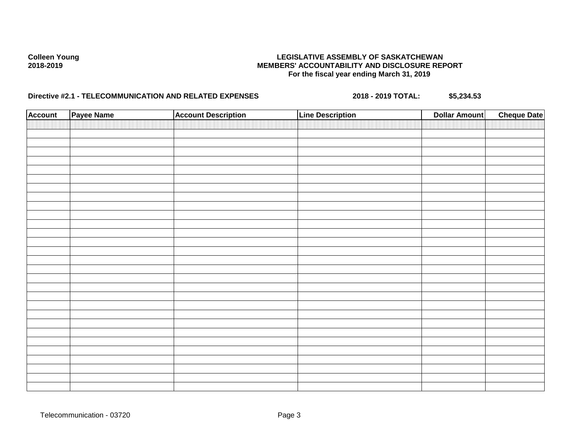| <b>Account</b> | Payee Name | <b>Account Description</b> | <b>Line Description</b> | <b>Dollar Amount</b> | <b>Cheque Date</b> |
|----------------|------------|----------------------------|-------------------------|----------------------|--------------------|
|                |            |                            |                         |                      |                    |
|                |            |                            |                         |                      |                    |
|                |            |                            |                         |                      |                    |
|                |            |                            |                         |                      |                    |
|                |            |                            |                         |                      |                    |
|                |            |                            |                         |                      |                    |
|                |            |                            |                         |                      |                    |
|                |            |                            |                         |                      |                    |
|                |            |                            |                         |                      |                    |
|                |            |                            |                         |                      |                    |
|                |            |                            |                         |                      |                    |
|                |            |                            |                         |                      |                    |
|                |            |                            |                         |                      |                    |
|                |            |                            |                         |                      |                    |
|                |            |                            |                         |                      |                    |
|                |            |                            |                         |                      |                    |
|                |            |                            |                         |                      |                    |
|                |            |                            |                         |                      |                    |
|                |            |                            |                         |                      |                    |
|                |            |                            |                         |                      |                    |
|                |            |                            |                         |                      |                    |
|                |            |                            |                         |                      |                    |
|                |            |                            |                         |                      |                    |
|                |            |                            |                         |                      |                    |
|                |            |                            |                         |                      |                    |
|                |            |                            |                         |                      |                    |
|                |            |                            |                         |                      |                    |
|                |            |                            |                         |                      |                    |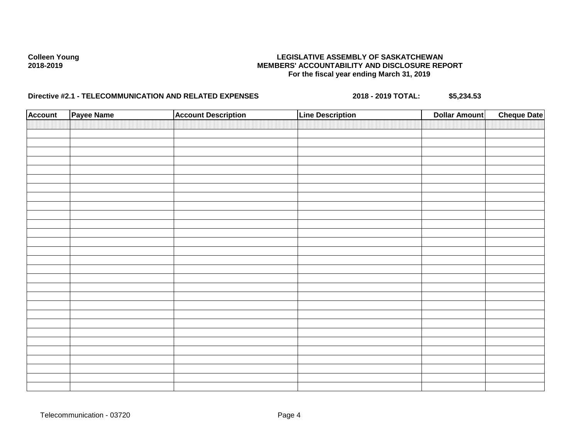| <b>Account</b> | Payee Name | <b>Account Description</b> | <b>Line Description</b> | <b>Dollar Amount</b> | <b>Cheque Date</b> |
|----------------|------------|----------------------------|-------------------------|----------------------|--------------------|
|                |            |                            |                         |                      |                    |
|                |            |                            |                         |                      |                    |
|                |            |                            |                         |                      |                    |
|                |            |                            |                         |                      |                    |
|                |            |                            |                         |                      |                    |
|                |            |                            |                         |                      |                    |
|                |            |                            |                         |                      |                    |
|                |            |                            |                         |                      |                    |
|                |            |                            |                         |                      |                    |
|                |            |                            |                         |                      |                    |
|                |            |                            |                         |                      |                    |
|                |            |                            |                         |                      |                    |
|                |            |                            |                         |                      |                    |
|                |            |                            |                         |                      |                    |
|                |            |                            |                         |                      |                    |
|                |            |                            |                         |                      |                    |
|                |            |                            |                         |                      |                    |
|                |            |                            |                         |                      |                    |
|                |            |                            |                         |                      |                    |
|                |            |                            |                         |                      |                    |
|                |            |                            |                         |                      |                    |
|                |            |                            |                         |                      |                    |
|                |            |                            |                         |                      |                    |
|                |            |                            |                         |                      |                    |
|                |            |                            |                         |                      |                    |
|                |            |                            |                         |                      |                    |
|                |            |                            |                         |                      |                    |
|                |            |                            |                         |                      |                    |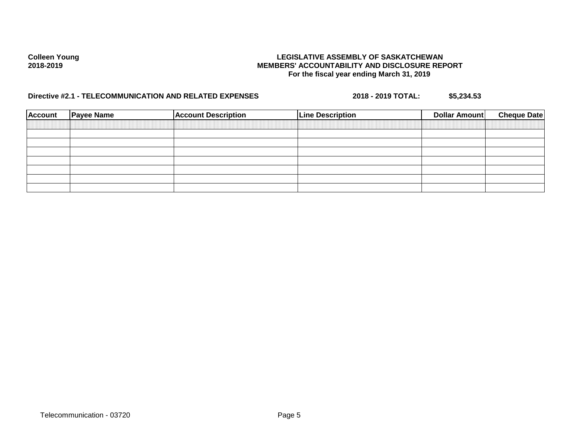| <b>Account</b> | <b>Payee Name</b> | <b>Account Description</b> | <b>Line Description</b> | Dollar Amount | <b>Cheque Date</b> |
|----------------|-------------------|----------------------------|-------------------------|---------------|--------------------|
|                |                   |                            |                         |               |                    |
|                |                   |                            |                         |               |                    |
|                |                   |                            |                         |               |                    |
|                |                   |                            |                         |               |                    |
|                |                   |                            |                         |               |                    |
|                |                   |                            |                         |               |                    |
|                |                   |                            |                         |               |                    |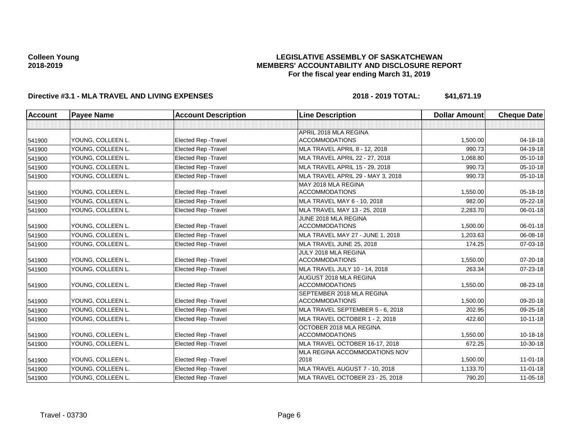## **LEGISLATIVE ASSEMBLY OF SASKATCHEWAN MEMBERS' ACCOUNTABILITY AND DISCLOSURE REPORT For the fiscal year ending March 31, 2019**

| <b>Account</b> | <b>Payee Name</b> | <b>Account Description</b>  | <b>Line Description</b>                            | <b>Dollar Amount</b> | <b>Cheque Date</b> |
|----------------|-------------------|-----------------------------|----------------------------------------------------|----------------------|--------------------|
|                |                   |                             |                                                    |                      |                    |
|                |                   |                             | APRIL 2018 MLA REGINA                              |                      |                    |
| 541900         | YOUNG, COLLEEN L. | <b>Elected Rep - Travel</b> | <b>ACCOMMODATIONS</b>                              | 1,500.00             | $04 - 18 - 18$     |
| 541900         | YOUNG, COLLEEN L. | Elected Rep - Travel        | <b>MLA TRAVEL APRIL 8 - 12, 2018</b>               | 990.73               | $04 - 19 - 18$     |
| 541900         | YOUNG. COLLEEN L. | Elected Rep - Travel        | MLA TRAVEL APRIL 22 - 27, 2018                     | 1,068.80             | $05 - 10 - 18$     |
| 541900         | YOUNG, COLLEEN L. | Elected Rep - Travel        | MLA TRAVEL APRIL 15 - 29, 2018                     | 990.73               | $05 - 10 - 18$     |
| 541900         | YOUNG, COLLEEN L. | <b>Elected Rep - Travel</b> | MLA TRAVEL APRIL 29 - MAY 3, 2018                  | 990.73               | $05 - 10 - 18$     |
|                |                   |                             | MAY 2018 MLA REGINA                                |                      |                    |
| 541900         | YOUNG, COLLEEN L. | Elected Rep - Travel        | <b>ACCOMMODATIONS</b>                              | 1,550.00             | 05-18-18           |
| 541900         | YOUNG, COLLEEN L. | <b>Elected Rep - Travel</b> | MLA TRAVEL MAY 6 - 10, 2018                        | 982.00               | $05 - 22 - 18$     |
| 541900         | YOUNG, COLLEEN L. | <b>Elected Rep - Travel</b> | MLA TRAVEL MAY 13 - 25, 2018                       | 2,283.70             | 06-01-18           |
|                |                   |                             | JUNE 2018 MLA REGINA                               |                      |                    |
| 541900         | YOUNG, COLLEEN L. | <b>Elected Rep - Travel</b> | <b>ACCOMMODATIONS</b>                              | 1,500.00             | 06-01-18           |
| 541900         | YOUNG, COLLEEN L. | Elected Rep - Travel        | MLA TRAVEL MAY 27 - JUNE 1, 2018                   | 1,203.63             | 06-08-18           |
| 541900         | YOUNG. COLLEEN L. | <b>Elected Rep - Travel</b> | MLA TRAVEL JUNE 25, 2018                           | 174.25               | $07 - 03 - 18$     |
|                |                   |                             | JULY 2018 MLA REGINA                               |                      |                    |
| 541900         | YOUNG, COLLEEN L. | <b>Elected Rep - Travel</b> | <b>ACCOMMODATIONS</b>                              | 1,550.00             | 07-20-18           |
| 541900         | YOUNG, COLLEEN L. | <b>Elected Rep - Travel</b> | MLA TRAVEL JULY 10 - 14, 2018                      | 263.34               | 07-23-18           |
|                |                   |                             | AUGUST 2018 MLA REGINA                             |                      |                    |
| 541900         | YOUNG, COLLEEN L. | <b>Elected Rep - Travel</b> | <b>ACCOMMODATIONS</b><br>SEPTEMBER 2018 MLA REGINA | 1,550.00             | 08-23-18           |
| 541900         | YOUNG, COLLEEN L. | <b>Elected Rep - Travel</b> | <b>ACCOMMODATIONS</b>                              | 1,500.00             | 09-20-18           |
| 541900         | YOUNG. COLLEEN L. | <b>Elected Rep - Travel</b> | MLA TRAVEL SEPTEMBER 5 - 6, 2018                   | 202.95               | $09 - 25 - 18$     |
| 541900         | YOUNG, COLLEEN L. | <b>Elected Rep - Travel</b> | MLA TRAVEL OCTOBER 1 - 2, 2018                     | 422.60               | $10 - 11 - 18$     |
|                |                   |                             | OCTOBER 2018 MLA REGINA                            |                      |                    |
| 541900         | YOUNG, COLLEEN L. | Elected Rep - Travel        | <b>ACCOMMODATIONS</b>                              | 1,550.00             | $10-18-18$         |
| 541900         | YOUNG. COLLEEN L. | Elected Rep - Travel        | MLA TRAVEL OCTOBER 16-17, 2018                     | 672.25               | 10-30-18           |
|                |                   |                             | MLA REGINA ACCOMMODATIONS NOV                      |                      |                    |
| 541900         | YOUNG, COLLEEN L. | Elected Rep - Travel        | 2018                                               | 1,500.00             | $11 - 01 - 18$     |
| 541900         | YOUNG, COLLEEN L. | <b>Elected Rep - Travel</b> | MLA TRAVEL AUGUST 7 - 10, 2018                     | 1,133.70             | $11 - 01 - 18$     |
| 541900         | YOUNG, COLLEEN L. | <b>Elected Rep - Travel</b> | MLA TRAVEL OCTOBER 23 - 25, 2018                   | 790.20               | $11 - 05 - 18$     |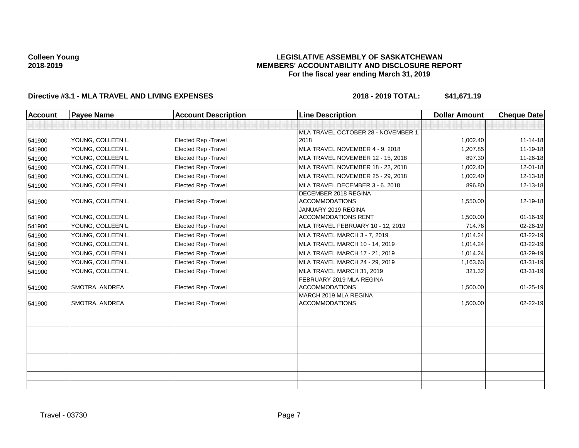## **LEGISLATIVE ASSEMBLY OF SASKATCHEWAN MEMBERS' ACCOUNTABILITY AND DISCLOSURE REPORT For the fiscal year ending March 31, 2019**

| <b>Account</b> | <b>Payee Name</b>     | <b>Account Description</b>  | <b>Line Description</b>                              | <b>Dollar Amount</b> | <b>Cheque Date</b> |
|----------------|-----------------------|-----------------------------|------------------------------------------------------|----------------------|--------------------|
|                |                       |                             |                                                      |                      |                    |
|                |                       |                             | MLA TRAVEL OCTOBER 28 - NOVEMBER 1,                  |                      |                    |
| 541900         | YOUNG, COLLEEN L.     | <b>Elected Rep - Travel</b> | 2018                                                 | 1,002.40             | $11 - 14 - 18$     |
| 541900         | YOUNG. COLLEEN L.     | <b>Elected Rep - Travel</b> | MLA TRAVEL NOVEMBER 4 - 9, 2018                      | 1,207.85             | $11 - 19 - 18$     |
| 541900         | YOUNG, COLLEEN L.     | Elected Rep - Travel        | MLA TRAVEL NOVEMBER 12 - 15, 2018                    | 897.30               | 11-26-18           |
| 541900         | YOUNG, COLLEEN L.     | <b>Elected Rep - Travel</b> | MLA TRAVEL NOVEMBER 18 - 22, 2018                    | 1,002.40             | $12 - 01 - 18$     |
| 541900         | YOUNG, COLLEEN L.     | Elected Rep - Travel        | MLA TRAVEL NOVEMBER 25 - 29, 2018                    | 1,002.40             | 12-13-18           |
| 541900         | YOUNG, COLLEEN L.     | <b>Elected Rep - Travel</b> | MLA TRAVEL DECEMBER 3 - 6, 2018                      | 896.80               | 12-13-18           |
| 541900         | YOUNG, COLLEEN L.     | Elected Rep - Travel        | <b>DECEMBER 2018 REGINA</b><br><b>ACCOMMODATIONS</b> | 1,550.00             | 12-19-18           |
| 541900         | YOUNG, COLLEEN L.     | <b>Elected Rep - Travel</b> | JANUARY 2019 REGINA<br><b>ACCOMMODATIONS RENT</b>    | 1,500.00             | $01 - 16 - 19$     |
| 541900         | YOUNG, COLLEEN L.     | Elected Rep - Travel        | MLA TRAVEL FEBRUARY 10 - 12, 2019                    | 714.76               | 02-26-19           |
| 541900         | YOUNG, COLLEEN L.     | <b>Elected Rep - Travel</b> | MLA TRAVEL MARCH 3 - 7, 2019                         | 1,014.24             | 03-22-19           |
| 541900         | YOUNG, COLLEEN L.     | Elected Rep - Travel        | MLA TRAVEL MARCH 10 - 14, 2019                       | 1,014.24             | 03-22-19           |
| 541900         | YOUNG. COLLEEN L.     | <b>Elected Rep - Travel</b> | MLA TRAVEL MARCH 17 - 21, 2019                       | 1,014.24             | 03-29-19           |
| 541900         | YOUNG, COLLEEN L.     | Elected Rep - Travel        | MLA TRAVEL MARCH 24 - 29, 2019                       | 1,163.63             | 03-31-19           |
| 541900         | YOUNG, COLLEEN L.     | Elected Rep - Travel        | MLA TRAVEL MARCH 31, 2019                            | 321.32               | 03-31-19           |
| 541900         | <b>SMOTRA, ANDREA</b> | Elected Rep - Travel        | FEBRUARY 2019 MLA REGINA<br><b>ACCOMMODATIONS</b>    | 1,500.00             | $01 - 25 - 19$     |
| 541900         | <b>SMOTRA, ANDREA</b> | Elected Rep - Travel        | MARCH 2019 MLA REGINA<br><b>ACCOMMODATIONS</b>       | 1,500.00             | 02-22-19           |
|                |                       |                             |                                                      |                      |                    |
|                |                       |                             |                                                      |                      |                    |
|                |                       |                             |                                                      |                      |                    |
|                |                       |                             |                                                      |                      |                    |
|                |                       |                             |                                                      |                      |                    |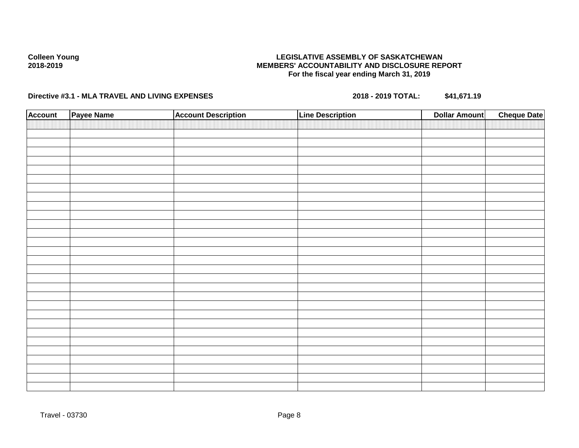## **LEGISLATIVE ASSEMBLY OF SASKATCHEWAN MEMBERS' ACCOUNTABILITY AND DISCLOSURE REPORT For the fiscal year ending March 31, 2019**

| <b>Account</b> | Payee Name | <b>Account Description</b> | <b>Line Description</b> | <b>Dollar Amount</b> | <b>Cheque Date</b> |
|----------------|------------|----------------------------|-------------------------|----------------------|--------------------|
|                |            |                            |                         |                      |                    |
|                |            |                            |                         |                      |                    |
|                |            |                            |                         |                      |                    |
|                |            |                            |                         |                      |                    |
|                |            |                            |                         |                      |                    |
|                |            |                            |                         |                      |                    |
|                |            |                            |                         |                      |                    |
|                |            |                            |                         |                      |                    |
|                |            |                            |                         |                      |                    |
|                |            |                            |                         |                      |                    |
|                |            |                            |                         |                      |                    |
|                |            |                            |                         |                      |                    |
|                |            |                            |                         |                      |                    |
|                |            |                            |                         |                      |                    |
|                |            |                            |                         |                      |                    |
|                |            |                            |                         |                      |                    |
|                |            |                            |                         |                      |                    |
|                |            |                            |                         |                      |                    |
|                |            |                            |                         |                      |                    |
|                |            |                            |                         |                      |                    |
|                |            |                            |                         |                      |                    |
|                |            |                            |                         |                      |                    |
|                |            |                            |                         |                      |                    |
|                |            |                            |                         |                      |                    |
|                |            |                            |                         |                      |                    |
|                |            |                            |                         |                      |                    |
|                |            |                            |                         |                      |                    |
|                |            |                            |                         |                      |                    |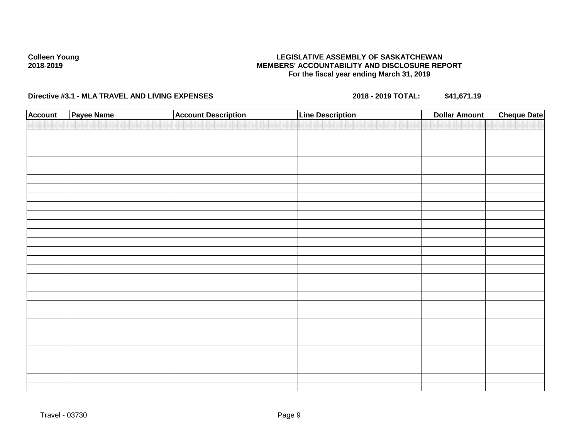## **LEGISLATIVE ASSEMBLY OF SASKATCHEWAN MEMBERS' ACCOUNTABILITY AND DISCLOSURE REPORT For the fiscal year ending March 31, 2019**

| <b>Account</b> | Payee Name | <b>Account Description</b> | Line Description | <b>Dollar Amount</b> | <b>Cheque Date</b> |
|----------------|------------|----------------------------|------------------|----------------------|--------------------|
|                |            |                            |                  |                      |                    |
|                |            |                            |                  |                      |                    |
|                |            |                            |                  |                      |                    |
|                |            |                            |                  |                      |                    |
|                |            |                            |                  |                      |                    |
|                |            |                            |                  |                      |                    |
|                |            |                            |                  |                      |                    |
|                |            |                            |                  |                      |                    |
|                |            |                            |                  |                      |                    |
|                |            |                            |                  |                      |                    |
|                |            |                            |                  |                      |                    |
|                |            |                            |                  |                      |                    |
|                |            |                            |                  |                      |                    |
|                |            |                            |                  |                      |                    |
|                |            |                            |                  |                      |                    |
|                |            |                            |                  |                      |                    |
|                |            |                            |                  |                      |                    |
|                |            |                            |                  |                      |                    |
|                |            |                            |                  |                      |                    |
|                |            |                            |                  |                      |                    |
|                |            |                            |                  |                      |                    |
|                |            |                            |                  |                      |                    |
|                |            |                            |                  |                      |                    |
|                |            |                            |                  |                      |                    |
|                |            |                            |                  |                      |                    |
|                |            |                            |                  |                      |                    |
|                |            |                            |                  |                      |                    |
|                |            |                            |                  |                      |                    |
|                |            |                            |                  |                      |                    |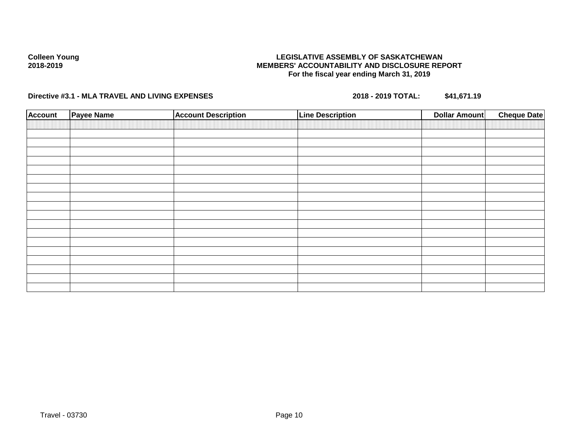## **LEGISLATIVE ASSEMBLY OF SASKATCHEWAN MEMBERS' ACCOUNTABILITY AND DISCLOSURE REPORT For the fiscal year ending March 31, 2019**

| <b>Account</b> | <b>Payee Name</b> | <b>Account Description</b> | <b>Line Description</b> | <b>Dollar Amount</b> | <b>Cheque Date</b> |
|----------------|-------------------|----------------------------|-------------------------|----------------------|--------------------|
|                |                   |                            |                         |                      |                    |
|                |                   |                            |                         |                      |                    |
|                |                   |                            |                         |                      |                    |
|                |                   |                            |                         |                      |                    |
|                |                   |                            |                         |                      |                    |
|                |                   |                            |                         |                      |                    |
|                |                   |                            |                         |                      |                    |
|                |                   |                            |                         |                      |                    |
|                |                   |                            |                         |                      |                    |
|                |                   |                            |                         |                      |                    |
|                |                   |                            |                         |                      |                    |
|                |                   |                            |                         |                      |                    |
|                |                   |                            |                         |                      |                    |
|                |                   |                            |                         |                      |                    |
|                |                   |                            |                         |                      |                    |
|                |                   |                            |                         |                      |                    |
|                |                   |                            |                         |                      |                    |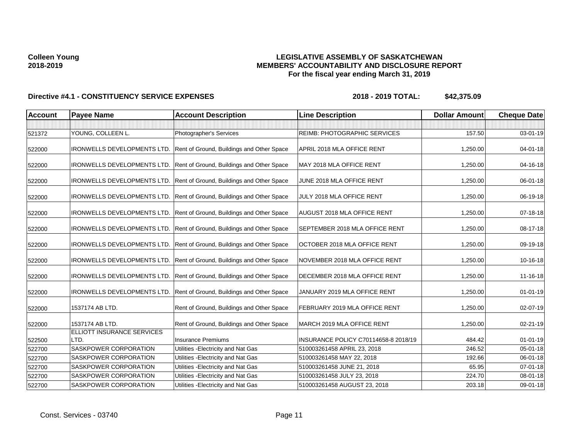## **LEGISLATIVE ASSEMBLY OF SASKATCHEWAN MEMBERS' ACCOUNTABILITY AND DISCLOSURE REPORT For the fiscal year ending March 31, 2019**

| <b>Account</b> | <b>Payee Name</b>                  | <b>Account Description</b>                                            | <b>Line Description</b>               | <b>Dollar Amount</b> | <b>Cheque Date</b> |
|----------------|------------------------------------|-----------------------------------------------------------------------|---------------------------------------|----------------------|--------------------|
|                |                                    |                                                                       |                                       |                      |                    |
| 521372         | YOUNG, COLLEEN L.                  | Photographer's Services                                               | REIMB: PHOTOGRAPHIC SERVICES          | 157.50               | 03-01-19           |
| 522000         | <b>IRONWELLS DEVELOPMENTS LTD.</b> | Rent of Ground, Buildings and Other Space                             | APRIL 2018 MLA OFFICE RENT            | 1,250.00             | $04 - 01 - 18$     |
| 522000         | IRONWELLS DEVELOPMENTS LTD.        | Rent of Ground, Buildings and Other Space                             | MAY 2018 MLA OFFICE RENT              | 1,250.00             | 04-16-18           |
| 522000         | <b>IRONWELLS DEVELOPMENTS LTD.</b> | Rent of Ground, Buildings and Other Space                             | JUNE 2018 MLA OFFICE RENT             | 1,250.00             | 06-01-18           |
| 522000         |                                    | IRONWELLS DEVELOPMENTS LTD. Rent of Ground, Buildings and Other Space | JULY 2018 MLA OFFICE RENT             | 1,250.00             | 06-19-18           |
| 522000         | <b>IRONWELLS DEVELOPMENTS LTD.</b> | Rent of Ground, Buildings and Other Space                             | AUGUST 2018 MLA OFFICE RENT           | 1,250.00             | 07-18-18           |
| 522000         | IRONWELLS DEVELOPMENTS LTD.        | Rent of Ground, Buildings and Other Space                             | <b>SEPTEMBER 2018 MLA OFFICE RENT</b> | 1,250.00             | 08-17-18           |
| 522000         | <b>IRONWELLS DEVELOPMENTS LTD.</b> | Rent of Ground, Buildings and Other Space                             | OCTOBER 2018 MLA OFFICE RENT          | 1,250.00             | 09-19-18           |
| 522000         | <b>IRONWELLS DEVELOPMENTS LTD.</b> | Rent of Ground, Buildings and Other Space                             | NOVEMBER 2018 MLA OFFICE RENT         | 1,250.00             | 10-16-18           |
| 522000         | <b>IRONWELLS DEVELOPMENTS LTD.</b> | Rent of Ground, Buildings and Other Space                             | DECEMBER 2018 MLA OFFICE RENT         | 1,250.00             | 11-16-18           |
| 522000         | IRONWELLS DEVELOPMENTS LTD.        | Rent of Ground, Buildings and Other Space                             | JANUARY 2019 MLA OFFICE RENT          | 1,250.00             | $01 - 01 - 19$     |
| 522000         | 1537174 AB LTD.                    | Rent of Ground, Buildings and Other Space                             | FEBRUARY 2019 MLA OFFICE RENT         | 1,250.00             | 02-07-19           |
| 522000         | 1537174 AB LTD.                    | Rent of Ground, Buildings and Other Space                             | MARCH 2019 MLA OFFICE RENT            | 1,250.00             | 02-21-19           |
|                | ELLIOTT INSURANCE SERVICES<br>LTD. | <b>Insurance Premiums</b>                                             | INSURANCE POLICY C70114658-8 2018/19  | 484.42               | $01 - 01 - 19$     |
| 522500         |                                    |                                                                       |                                       | 246.52               |                    |
| 522700         | SASKPOWER CORPORATION              | Utilities - Electricity and Nat Gas                                   | 510003261458 APRIL 23, 2018           |                      | 05-01-18           |
| 522700         | SASKPOWER CORPORATION              | Utilities - Electricity and Nat Gas                                   | 510003261458 MAY 22, 2018             | 192.66               | 06-01-18           |
| 522700         | SASKPOWER CORPORATION              | Utilities - Electricity and Nat Gas                                   | 510003261458 JUNE 21, 2018            | 65.95                | $07 - 01 - 18$     |
| 522700         | SASKPOWER CORPORATION              | Utilities - Electricity and Nat Gas                                   | 510003261458 JULY 23, 2018            | 224.70               | 08-01-18           |
| 522700         | SASKPOWER CORPORATION              | Utilities - Electricity and Nat Gas                                   | 510003261458 AUGUST 23, 2018          | 203.18               | 09-01-18           |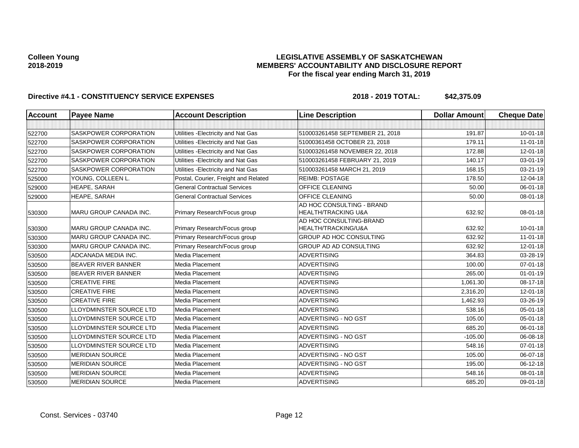## **LEGISLATIVE ASSEMBLY OF SASKATCHEWAN MEMBERS' ACCOUNTABILITY AND DISCLOSURE REPORT For the fiscal year ending March 31, 2019**

| <b>Account</b> | <b>Payee Name</b>              | <b>Account Description</b>           | <b>Line Description</b>                                     | <b>Dollar Amount</b> | <b>Cheque Date</b> |
|----------------|--------------------------------|--------------------------------------|-------------------------------------------------------------|----------------------|--------------------|
|                |                                |                                      |                                                             |                      |                    |
| 522700         | <b>SASKPOWER CORPORATION</b>   | Utilities - Electricity and Nat Gas  | 510003261458 SEPTEMBER 21, 2018                             | 191.87               | $10 - 01 - 18$     |
| 522700         | <b>SASKPOWER CORPORATION</b>   | Utilities - Electricity and Nat Gas  | 51000361458 OCTOBER 23, 2018                                | 179.11               | $11-01-18$         |
| 522700         | <b>SASKPOWER CORPORATION</b>   | Utilities - Electricity and Nat Gas  | 510003261458 NOVEMBER 22, 2018                              | 172.88               | 12-01-18           |
| 522700         | SASKPOWER CORPORATION          | Utilities - Electricity and Nat Gas  | 510003261458 FEBRUARY 21, 2019                              | 140.17               | 03-01-19           |
| 522700         | <b>SASKPOWER CORPORATION</b>   | Utilities - Electricity and Nat Gas  | 510003261458 MARCH 21, 2019                                 | 168.15               | 03-21-19           |
| 525000         | YOUNG, COLLEEN L.              | Postal, Courier, Freight and Related | <b>REIMB: POSTAGE</b>                                       | 178.50               | 12-04-18           |
| 529000         | <b>HEAPE, SARAH</b>            | <b>General Contractual Services</b>  | <b>OFFICE CLEANING</b>                                      | 50.00                | 06-01-18           |
| 529000         | <b>HEAPE, SARAH</b>            | <b>General Contractual Services</b>  | <b>OFFICE CLEANING</b>                                      | 50.00                | 08-01-18           |
| 530300         | MARU GROUP CANADA INC.         | Primary Research/Focus group         | AD HOC CONSULTING - BRAND<br><b>HEALTH/TRACKING U&amp;A</b> | 632.92               | 08-01-18           |
| 530300         | MARU GROUP CANADA INC.         | Primary Research/Focus group         | AD HOC CONSULTING-BRAND<br>HEALTH/TRACKING/U&A              | 632.92               | $10 - 01 - 18$     |
| 530300         | MARU GROUP CANADA INC.         | Primary Research/Focus group         | GROUP AD HOC CONSULTING                                     | 632.92               | $11 - 01 - 18$     |
| 530300         | MARU GROUP CANADA INC.         | Primary Research/Focus group         | GROUP AD AD CONSULTING                                      | 632.92               | $12 - 01 - 18$     |
| 530500         | ADCANADA MEDIA INC.            | <b>Media Placement</b>               | <b>ADVERTISING</b>                                          | 364.83               | 03-28-19           |
| 530500         | <b>BEAVER RIVER BANNER</b>     | Media Placement                      | <b>ADVERTISING</b>                                          | 100.00               | $07 - 01 - 18$     |
| 530500         | <b>BEAVER RIVER BANNER</b>     | Media Placement                      | <b>ADVERTISING</b>                                          | 265.00               | $01 - 01 - 19$     |
| 530500         | <b>CREATIVE FIRE</b>           | Media Placement                      | <b>ADVERTISING</b>                                          | 1,061.30             | 08-17-18           |
| 530500         | <b>CREATIVE FIRE</b>           | Media Placement                      | <b>ADVERTISING</b>                                          | 2,316.20             | 12-01-18           |
| 530500         | <b>CREATIVE FIRE</b>           | <b>Media Placement</b>               | <b>ADVERTISING</b>                                          | 1,462.93             | 03-26-19           |
| 530500         | <b>LLOYDMINSTER SOURCE LTD</b> | Media Placement                      | <b>ADVERTISING</b>                                          | 538.16               | $05 - 01 - 18$     |
| 530500         | LLOYDMINSTER SOURCE LTD        | <b>Media Placement</b>               | ADVERTISING - NO GST                                        | 105.00               | $05 - 01 - 18$     |
| 530500         | LLOYDMINSTER SOURCE LTD        | Media Placement                      | <b>ADVERTISING</b>                                          | 685.20               | 06-01-18           |
| 530500         | LLOYDMINSTER SOURCE LTD        | <b>Media Placement</b>               | ADVERTISING - NO GST                                        | $-105.00$            | 06-08-18           |
| 530500         | LLOYDMINSTER SOURCE LTD        | Media Placement                      | <b>ADVERTISING</b>                                          | 548.16               | $07 - 01 - 18$     |
| 530500         | <b>MERIDIAN SOURCE</b>         | Media Placement                      | ADVERTISING - NO GST                                        | 105.00               | 06-07-18           |
| 530500         | <b>MERIDIAN SOURCE</b>         | <b>Media Placement</b>               | ADVERTISING - NO GST                                        | 195.00               | 06-12-18           |
| 530500         | <b>MERIDIAN SOURCE</b>         | Media Placement                      | <b>ADVERTISING</b>                                          | 548.16               | 08-01-18           |
| 530500         | <b>MERIDIAN SOURCE</b>         | Media Placement                      | <b>ADVERTISING</b>                                          | 685.20               | 09-01-18           |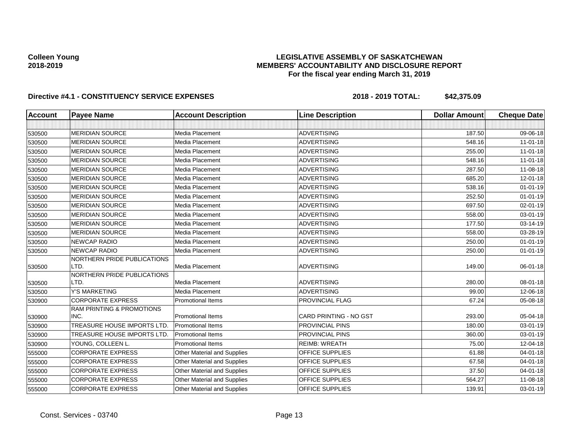## **LEGISLATIVE ASSEMBLY OF SASKATCHEWAN MEMBERS' ACCOUNTABILITY AND DISCLOSURE REPORT For the fiscal year ending March 31, 2019**

| <b>Account</b> | <b>Payee Name</b>                    | <b>Account Description</b>         | <b>Line Description</b>       | <b>Dollar Amount</b> | <b>Cheque Date</b> |
|----------------|--------------------------------------|------------------------------------|-------------------------------|----------------------|--------------------|
|                |                                      |                                    |                               |                      |                    |
| 530500         | <b>MERIDIAN SOURCE</b>               | Media Placement                    | <b>ADVERTISING</b>            | 187.50               | 09-06-18           |
| 530500         | <b>MERIDIAN SOURCE</b>               | Media Placement                    | <b>ADVERTISING</b>            | 548.16               | $11-01-18$         |
| 530500         | <b>MERIDIAN SOURCE</b>               | Media Placement                    | <b>ADVERTISING</b>            | 255.00               | $11 - 01 - 18$     |
| 530500         | <b>MERIDIAN SOURCE</b>               | Media Placement                    | <b>ADVERTISING</b>            | 548.16               | $11-01-18$         |
| 530500         | <b>MERIDIAN SOURCE</b>               | Media Placement                    | <b>ADVERTISING</b>            | 287.50               | 11-08-18           |
| 530500         | <b>MERIDIAN SOURCE</b>               | Media Placement                    | <b>ADVERTISING</b>            | 685.20               | 12-01-18           |
| 530500         | <b>MERIDIAN SOURCE</b>               | <b>Media Placement</b>             | <b>ADVERTISING</b>            | 538.16               | $01 - 01 - 19$     |
| 530500         | <b>MERIDIAN SOURCE</b>               | Media Placement                    | <b>ADVERTISING</b>            | 252.50               | $01 - 01 - 19$     |
| 530500         | <b>MERIDIAN SOURCE</b>               | Media Placement                    | <b>ADVERTISING</b>            | 697.50               | 02-01-19           |
| 530500         | <b>MERIDIAN SOURCE</b>               | Media Placement                    | <b>ADVERTISING</b>            | 558.00               | 03-01-19           |
| 530500         | <b>MERIDIAN SOURCE</b>               | Media Placement                    | <b>ADVERTISING</b>            | 177.50               | 03-14-19           |
| 530500         | <b>MERIDIAN SOURCE</b>               | Media Placement                    | <b>ADVERTISING</b>            | 558.00               | 03-28-19           |
| 530500         | <b>NEWCAP RADIO</b>                  | Media Placement                    | <b>ADVERTISING</b>            | 250.00               | $01 - 01 - 19$     |
| 530500         | <b>NEWCAP RADIO</b>                  | Media Placement                    | <b>ADVERTISING</b>            | 250.00               | $01 - 01 - 19$     |
|                | NORTHERN PRIDE PUBLICATIONS          |                                    |                               |                      |                    |
| 530500         | LTD.                                 | Media Placement                    | <b>ADVERTISING</b>            | 149.00               | 06-01-18           |
|                | NORTHERN PRIDE PUBLICATIONS<br>LTD.  | Media Placement                    | <b>ADVERTISING</b>            | 280.00               | 08-01-18           |
| 530500         | <b>Y'S MARKETING</b>                 | Media Placement                    | <b>ADVERTISING</b>            | 99.00                | 12-06-18           |
| 530500         | <b>CORPORATE EXPRESS</b>             | <b>Promotional Items</b>           | PROVINCIAL FLAG               | 67.24                | 05-08-18           |
| 530900         | <b>RAM PRINTING &amp; PROMOTIONS</b> |                                    |                               |                      |                    |
| 530900         | INC.                                 | <b>Promotional Items</b>           | <b>CARD PRINTING - NO GST</b> | 293.00               | 05-04-18           |
| 530900         | TREASURE HOUSE IMPORTS LTD.          | <b>Promotional Items</b>           | <b>PROVINCIAL PINS</b>        | 180.00               | 03-01-19           |
| 530900         | TREASURE HOUSE IMPORTS LTD.          | <b>Promotional Items</b>           | <b>PROVINCIAL PINS</b>        | 360.00               | 03-01-19           |
| 530900         | YOUNG, COLLEEN L.                    | <b>Promotional Items</b>           | <b>REIMB: WREATH</b>          | 75.00                | 12-04-18           |
| 555000         | <b>CORPORATE EXPRESS</b>             | <b>Other Material and Supplies</b> | OFFICE SUPPLIES               | 61.88                | 04-01-18           |
| 555000         | <b>CORPORATE EXPRESS</b>             | Other Material and Supplies        | <b>OFFICE SUPPLIES</b>        | 67.58                | 04-01-18           |
| 555000         | <b>CORPORATE EXPRESS</b>             | Other Material and Supplies        | <b>OFFICE SUPPLIES</b>        | 37.50                | $04 - 01 - 18$     |
| 555000         | <b>CORPORATE EXPRESS</b>             | Other Material and Supplies        | OFFICE SUPPLIES               | 564.27               | 11-08-18           |
| 555000         | <b>CORPORATE EXPRESS</b>             | Other Material and Supplies        | OFFICE SUPPLIES               | 139.91               | 03-01-19           |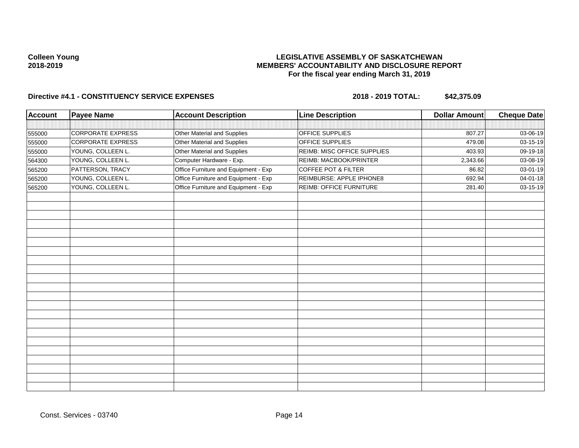## **LEGISLATIVE ASSEMBLY OF SASKATCHEWAN MEMBERS' ACCOUNTABILITY AND DISCLOSURE REPORT For the fiscal year ending March 31, 2019**

| <b>Account</b> | <b>Payee Name</b>        | <b>Account Description</b>           | <b>Line Description</b>     | <b>Dollar Amount</b> | <b>Cheque Date</b> |
|----------------|--------------------------|--------------------------------------|-----------------------------|----------------------|--------------------|
|                |                          |                                      |                             |                      |                    |
| 555000         | <b>CORPORATE EXPRESS</b> | Other Material and Supplies          | OFFICE SUPPLIES             | 807.27               | 03-06-19           |
| 555000         | <b>CORPORATE EXPRESS</b> | Other Material and Supplies          | OFFICE SUPPLIES             | 479.08               | 03-15-19           |
| 555000         | YOUNG, COLLEEN L.        | Other Material and Supplies          | REIMB: MISC OFFICE SUPPLIES | 403.93               | 09-19-18           |
| 564300         | YOUNG, COLLEEN L.        | Computer Hardware - Exp.             | REIMB: MACBOOK/PRINTER      | 2,343.66             | 03-08-19           |
| 565200         | PATTERSON, TRACY         | Office Furniture and Equipment - Exp | COFFEE POT & FILTER         | 86.82                | 03-01-19           |
| 565200         | YOUNG, COLLEEN L.        | Office Furniture and Equipment - Exp | REIMBURSE: APPLE IPHONE8    | 692.94               | 04-01-18           |
| 565200         | YOUNG, COLLEEN L.        | Office Furniture and Equipment - Exp | REIMB: OFFICE FURNITURE     | 281.40               | 03-15-19           |
|                |                          |                                      |                             |                      |                    |
|                |                          |                                      |                             |                      |                    |
|                |                          |                                      |                             |                      |                    |
|                |                          |                                      |                             |                      |                    |
|                |                          |                                      |                             |                      |                    |
|                |                          |                                      |                             |                      |                    |
|                |                          |                                      |                             |                      |                    |
|                |                          |                                      |                             |                      |                    |
|                |                          |                                      |                             |                      |                    |
|                |                          |                                      |                             |                      |                    |
|                |                          |                                      |                             |                      |                    |
|                |                          |                                      |                             |                      |                    |
|                |                          |                                      |                             |                      |                    |
|                |                          |                                      |                             |                      |                    |
|                |                          |                                      |                             |                      |                    |
|                |                          |                                      |                             |                      |                    |
|                |                          |                                      |                             |                      |                    |
|                |                          |                                      |                             |                      |                    |
|                |                          |                                      |                             |                      |                    |
|                |                          |                                      |                             |                      |                    |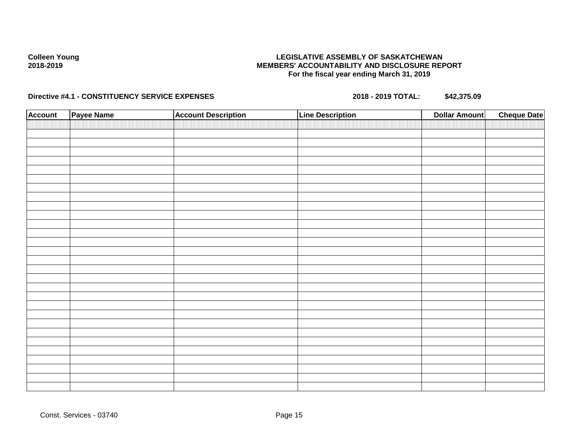## **LEGISLATIVE ASSEMBLY OF SASKATCHEWAN MEMBERS' ACCOUNTABILITY AND DISCLOSURE REPORT For the fiscal year ending March 31, 2019**

| <b>Account</b> | Payee Name | <b>Account Description</b> | <b>Line Description</b> | <b>Dollar Amount</b> | <b>Cheque Date</b> |
|----------------|------------|----------------------------|-------------------------|----------------------|--------------------|
|                |            |                            |                         |                      |                    |
|                |            |                            |                         |                      |                    |
|                |            |                            |                         |                      |                    |
|                |            |                            |                         |                      |                    |
|                |            |                            |                         |                      |                    |
|                |            |                            |                         |                      |                    |
|                |            |                            |                         |                      |                    |
|                |            |                            |                         |                      |                    |
|                |            |                            |                         |                      |                    |
|                |            |                            |                         |                      |                    |
|                |            |                            |                         |                      |                    |
|                |            |                            |                         |                      |                    |
|                |            |                            |                         |                      |                    |
|                |            |                            |                         |                      |                    |
|                |            |                            |                         |                      |                    |
|                |            |                            |                         |                      |                    |
|                |            |                            |                         |                      |                    |
|                |            |                            |                         |                      |                    |
|                |            |                            |                         |                      |                    |
|                |            |                            |                         |                      |                    |
|                |            |                            |                         |                      |                    |
|                |            |                            |                         |                      |                    |
|                |            |                            |                         |                      |                    |
|                |            |                            |                         |                      |                    |
|                |            |                            |                         |                      |                    |
|                |            |                            |                         |                      |                    |
|                |            |                            |                         |                      |                    |
|                |            |                            |                         |                      |                    |
|                |            |                            |                         |                      |                    |
|                |            |                            |                         |                      |                    |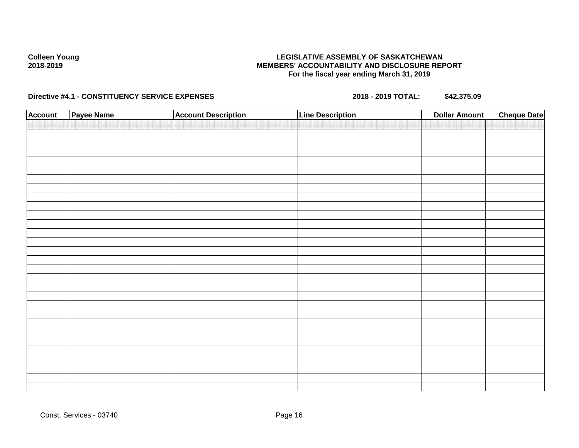## **LEGISLATIVE ASSEMBLY OF SASKATCHEWAN MEMBERS' ACCOUNTABILITY AND DISCLOSURE REPORT For the fiscal year ending March 31, 2019**

| <b>Account</b> | Payee Name | <b>Account Description</b> | <b>Line Description</b> | <b>Dollar Amount</b> | <b>Cheque Date</b> |
|----------------|------------|----------------------------|-------------------------|----------------------|--------------------|
|                |            |                            |                         |                      |                    |
|                |            |                            |                         |                      |                    |
|                |            |                            |                         |                      |                    |
|                |            |                            |                         |                      |                    |
|                |            |                            |                         |                      |                    |
|                |            |                            |                         |                      |                    |
|                |            |                            |                         |                      |                    |
|                |            |                            |                         |                      |                    |
|                |            |                            |                         |                      |                    |
|                |            |                            |                         |                      |                    |
|                |            |                            |                         |                      |                    |
|                |            |                            |                         |                      |                    |
|                |            |                            |                         |                      |                    |
|                |            |                            |                         |                      |                    |
|                |            |                            |                         |                      |                    |
|                |            |                            |                         |                      |                    |
|                |            |                            |                         |                      |                    |
|                |            |                            |                         |                      |                    |
|                |            |                            |                         |                      |                    |
|                |            |                            |                         |                      |                    |
|                |            |                            |                         |                      |                    |
|                |            |                            |                         |                      |                    |
|                |            |                            |                         |                      |                    |
|                |            |                            |                         |                      |                    |
|                |            |                            |                         |                      |                    |
|                |            |                            |                         |                      |                    |
|                |            |                            |                         |                      |                    |
|                |            |                            |                         |                      |                    |
|                |            |                            |                         |                      |                    |
|                |            |                            |                         |                      |                    |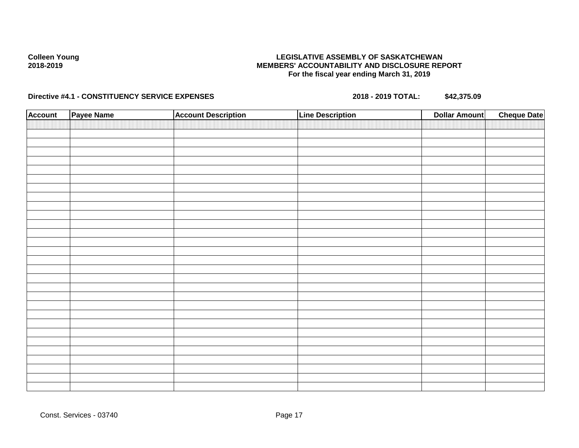## **LEGISLATIVE ASSEMBLY OF SASKATCHEWAN MEMBERS' ACCOUNTABILITY AND DISCLOSURE REPORT For the fiscal year ending March 31, 2019**

| <b>Account</b> | Payee Name | <b>Account Description</b> | <b>Line Description</b> | <b>Dollar Amount</b> | <b>Cheque Date</b> |
|----------------|------------|----------------------------|-------------------------|----------------------|--------------------|
|                |            |                            |                         |                      |                    |
|                |            |                            |                         |                      |                    |
|                |            |                            |                         |                      |                    |
|                |            |                            |                         |                      |                    |
|                |            |                            |                         |                      |                    |
|                |            |                            |                         |                      |                    |
|                |            |                            |                         |                      |                    |
|                |            |                            |                         |                      |                    |
|                |            |                            |                         |                      |                    |
|                |            |                            |                         |                      |                    |
|                |            |                            |                         |                      |                    |
|                |            |                            |                         |                      |                    |
|                |            |                            |                         |                      |                    |
|                |            |                            |                         |                      |                    |
|                |            |                            |                         |                      |                    |
|                |            |                            |                         |                      |                    |
|                |            |                            |                         |                      |                    |
|                |            |                            |                         |                      |                    |
|                |            |                            |                         |                      |                    |
|                |            |                            |                         |                      |                    |
|                |            |                            |                         |                      |                    |
|                |            |                            |                         |                      |                    |
|                |            |                            |                         |                      |                    |
|                |            |                            |                         |                      |                    |
|                |            |                            |                         |                      |                    |
|                |            |                            |                         |                      |                    |
|                |            |                            |                         |                      |                    |
|                |            |                            |                         |                      |                    |
|                |            |                            |                         |                      |                    |
|                |            |                            |                         |                      |                    |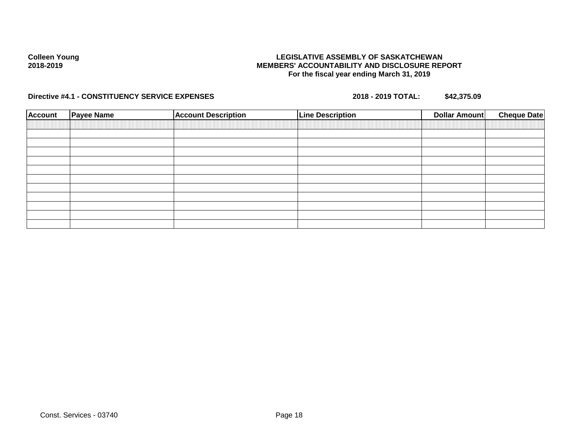## **LEGISLATIVE ASSEMBLY OF SASKATCHEWAN MEMBERS' ACCOUNTABILITY AND DISCLOSURE REPORT For the fiscal year ending March 31, 2019**

| <b>Account</b> | <b>Payee Name</b> | <b>Account Description</b> | <b>Line Description</b> | Dollar Amount | <b>Cheque Date</b> |
|----------------|-------------------|----------------------------|-------------------------|---------------|--------------------|
|                |                   |                            |                         |               |                    |
|                |                   |                            |                         |               |                    |
|                |                   |                            |                         |               |                    |
|                |                   |                            |                         |               |                    |
|                |                   |                            |                         |               |                    |
|                |                   |                            |                         |               |                    |
|                |                   |                            |                         |               |                    |
|                |                   |                            |                         |               |                    |
|                |                   |                            |                         |               |                    |
|                |                   |                            |                         |               |                    |
|                |                   |                            |                         |               |                    |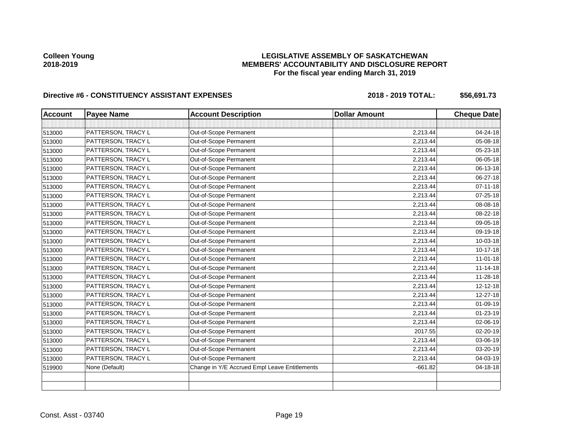## **LEGISLATIVE ASSEMBLY OF SASKATCHEWAN MEMBERS' ACCOUNTABILITY AND DISCLOSURE REPORT For the fiscal year ending March 31, 2019**

| <b>Account</b> | <b>Payee Name</b>  | <b>Account Description</b>                    | <b>Dollar Amount</b> | <b>Cheque Date</b> |
|----------------|--------------------|-----------------------------------------------|----------------------|--------------------|
|                |                    |                                               |                      |                    |
| 513000         | PATTERSON, TRACY L | Out-of-Scope Permanent                        | 2,213.44             | 04-24-18           |
| 513000         | PATTERSON, TRACY L | Out-of-Scope Permanent                        | 2,213.44             | 05-08-18           |
| 513000         | PATTERSON, TRACY L | Out-of-Scope Permanent                        | 2,213.44             | 05-23-18           |
| 513000         | PATTERSON, TRACY L | Out-of-Scope Permanent                        | 2,213.44             | 06-05-18           |
| 513000         | PATTERSON, TRACY L | Out-of-Scope Permanent                        | 2,213.44             | 06-13-18           |
| 513000         | PATTERSON, TRACY L | Out-of-Scope Permanent                        | 2,213.44             | 06-27-18           |
| 513000         | PATTERSON, TRACY L | Out-of-Scope Permanent                        | 2,213.44             | $07 - 11 - 18$     |
| 513000         | PATTERSON, TRACY L | Out-of-Scope Permanent                        | 2,213.44             | 07-25-18           |
| 513000         | PATTERSON, TRACY L | Out-of-Scope Permanent                        | 2,213.44             | 08-08-18           |
| 513000         | PATTERSON, TRACY L | Out-of-Scope Permanent                        | 2,213.44             | 08-22-18           |
| 513000         | PATTERSON, TRACY L | Out-of-Scope Permanent                        | 2,213.44             | 09-05-18           |
| 513000         | PATTERSON, TRACY L | Out-of-Scope Permanent                        | 2,213.44             | 09-19-18           |
| 513000         | PATTERSON, TRACY L | Out-of-Scope Permanent                        | 2,213.44             | 10-03-18           |
| 513000         | PATTERSON, TRACY L | Out-of-Scope Permanent                        | 2,213.44             | $10-17-18$         |
| 513000         | PATTERSON, TRACY L | Out-of-Scope Permanent                        | 2,213.44             | $11 - 01 - 18$     |
| 513000         | PATTERSON, TRACY L | Out-of-Scope Permanent                        | 2,213.44             | $11 - 14 - 18$     |
| 513000         | PATTERSON, TRACY L | Out-of-Scope Permanent                        | 2,213.44             | 11-28-18           |
| 513000         | PATTERSON, TRACY L | Out-of-Scope Permanent                        | 2,213.44             | 12-12-18           |
| 513000         | PATTERSON, TRACY L | Out-of-Scope Permanent                        | 2,213.44             | 12-27-18           |
| 513000         | PATTERSON, TRACY L | Out-of-Scope Permanent                        | 2,213.44             | 01-09-19           |
| 513000         | PATTERSON, TRACY L | Out-of-Scope Permanent                        | 2,213.44             | $01 - 23 - 19$     |
| 513000         | PATTERSON, TRACY L | Out-of-Scope Permanent                        | 2,213.44             | 02-06-19           |
| 513000         | PATTERSON, TRACY L | Out-of-Scope Permanent                        | 2017.55              | 02-20-19           |
| 513000         | PATTERSON, TRACY L | Out-of-Scope Permanent                        | 2,213.44             | 03-06-19           |
| 513000         | PATTERSON, TRACY L | Out-of-Scope Permanent                        | 2,213.44             | 03-20-19           |
| 513000         | PATTERSON, TRACY L | Out-of-Scope Permanent                        | 2,213.44             | 04-03-19           |
| 519900         | None (Default)     | Change in Y/E Accrued Empl Leave Entitlements | $-661.82$            | 04-18-18           |
|                |                    |                                               |                      |                    |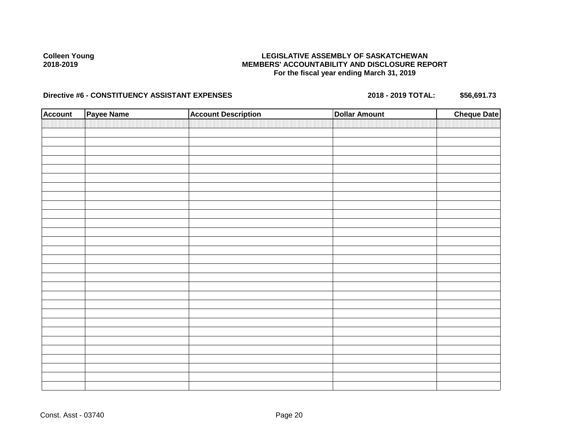## **LEGISLATIVE ASSEMBLY OF SASKATCHEWAN MEMBERS' ACCOUNTABILITY AND DISCLOSURE REPORT For the fiscal year ending March 31, 2019**

| <b>Account</b> | Payee Name | <b>Account Description</b> | <b>Dollar Amount</b> | <b>Cheque Date</b> |
|----------------|------------|----------------------------|----------------------|--------------------|
|                |            |                            |                      |                    |
|                |            |                            |                      |                    |
|                |            |                            |                      |                    |
|                |            |                            |                      |                    |
|                |            |                            |                      |                    |
|                |            |                            |                      |                    |
|                |            |                            |                      |                    |
|                |            |                            |                      |                    |
|                |            |                            |                      |                    |
|                |            |                            |                      |                    |
|                |            |                            |                      |                    |
|                |            |                            |                      |                    |
|                |            |                            |                      |                    |
|                |            |                            |                      |                    |
|                |            |                            |                      |                    |
|                |            |                            |                      |                    |
|                |            |                            |                      |                    |
|                |            |                            |                      |                    |
|                |            |                            |                      |                    |
|                |            |                            |                      |                    |
|                |            |                            |                      |                    |
|                |            |                            |                      |                    |
|                |            |                            |                      |                    |
|                |            |                            |                      |                    |
|                |            |                            |                      |                    |
|                |            |                            |                      |                    |
|                |            |                            |                      |                    |
|                |            |                            |                      |                    |
|                |            |                            |                      |                    |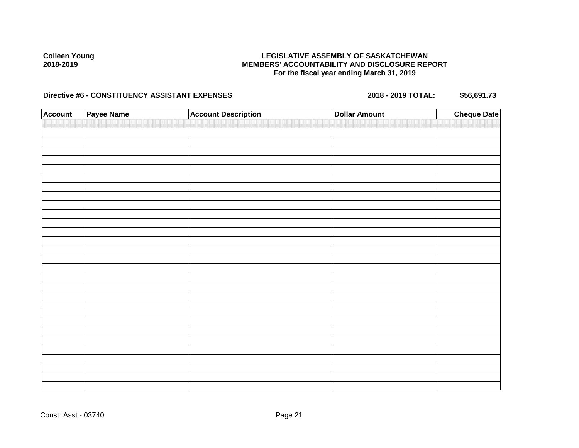## **LEGISLATIVE ASSEMBLY OF SASKATCHEWAN MEMBERS' ACCOUNTABILITY AND DISCLOSURE REPORT For the fiscal year ending March 31, 2019**

| <b>Account</b> | Payee Name | <b>Account Description</b> | <b>Dollar Amount</b> | <b>Cheque Date</b> |
|----------------|------------|----------------------------|----------------------|--------------------|
|                |            |                            |                      |                    |
|                |            |                            |                      |                    |
|                |            |                            |                      |                    |
|                |            |                            |                      |                    |
|                |            |                            |                      |                    |
|                |            |                            |                      |                    |
|                |            |                            |                      |                    |
|                |            |                            |                      |                    |
|                |            |                            |                      |                    |
|                |            |                            |                      |                    |
|                |            |                            |                      |                    |
|                |            |                            |                      |                    |
|                |            |                            |                      |                    |
|                |            |                            |                      |                    |
|                |            |                            |                      |                    |
|                |            |                            |                      |                    |
|                |            |                            |                      |                    |
|                |            |                            |                      |                    |
|                |            |                            |                      |                    |
|                |            |                            |                      |                    |
|                |            |                            |                      |                    |
|                |            |                            |                      |                    |
|                |            |                            |                      |                    |
|                |            |                            |                      |                    |
|                |            |                            |                      |                    |
|                |            |                            |                      |                    |
|                |            |                            |                      |                    |
|                |            |                            |                      |                    |
|                |            |                            |                      |                    |